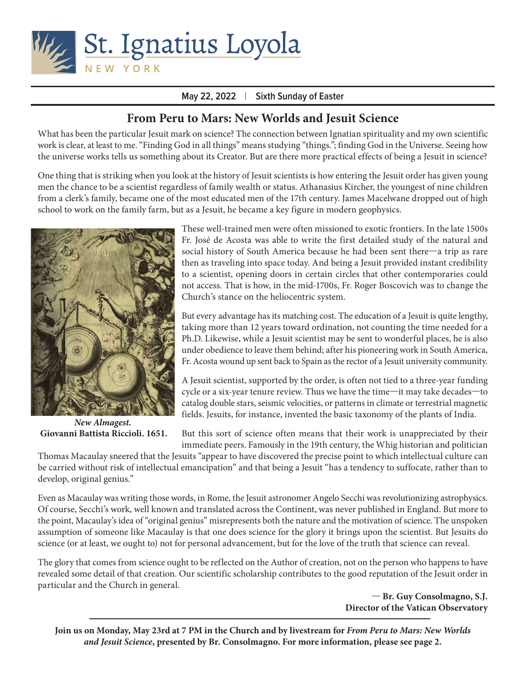

#### **May 22, 2022** | **Sixth Sunday of Easter**

# **From Peru to Mars: New Worlds and Jesuit Science**

What has been the particular Jesuit mark on science? The connection between Ignatian spirituality and my own scientific work is clear, at least to me. "Finding God in all things" means studying "things."; finding God in the Universe. Seeing how the universe works tells us something about its Creator. But are there more practical effects of being a Jesuit in science?

One thing that is striking when you look at the history of Jesuit scientists is how entering the Jesuit order has given young men the chance to be a scientist regardless of family wealth or status. Athanasius Kircher, the youngest of nine children from a clerk's family, became one of the most educated men of the 17th century. James Macelwane dropped out of high school to work on the family farm, but as a Jesuit, he became a key figure in modern geophysics.



*New Almagest.*  **Giovanni Battista Riccioli. 1651.**

These well-trained men were often missioned to exotic frontiers. In the late 1500s Fr. José de Acosta was able to write the first detailed study of the natural and social history of South America because he had been sent there—a trip as rare then as traveling into space today. And being a Jesuit provided instant credibility to a scientist, opening doors in certain circles that other contemporaries could not access. That is how, in the mid-1700s, Fr. Roger Boscovich was to change the Church's stance on the heliocentric system.

But every advantage has its matching cost. The education of a Jesuit is quite lengthy, taking more than 12 years toward ordination, not counting the time needed for a Ph.D. Likewise, while a Jesuit scientist may be sent to wonderful places, he is also under obedience to leave them behind; after his pioneering work in South America, Fr. Acosta wound up sent back to Spain as the rector of a Jesuit university community.

A Jesuit scientist, supported by the order, is often not tied to a three-year funding cycle or a six-year tenure review. Thus we have the time—it may take decades—to catalog double stars, seismic velocities, or patterns in climate or terrestrial magnetic fields. Jesuits, for instance, invented the basic taxonomy of the plants of India.

But this sort of science often means that their work is unappreciated by their immediate peers. Famously in the 19th century, the Whig historian and politician

Thomas Macaulay sneered that the Jesuits "appear to have discovered the precise point to which intellectual culture can be carried without risk of intellectual emancipation" and that being a Jesuit "has a tendency to suffocate, rather than to develop, original genius."

Even as Macaulay was writing those words, in Rome, the Jesuit astronomer Angelo Secchi was revolutionizing astrophysics. Of course, Secchi's work, well known and translated across the Continent, was never published in England. But more to the point, Macaulay's idea of "original genius" misrepresents both the nature and the motivation of science. The unspoken assumption of someone like Macaulay is that one does science for the glory it brings upon the scientist. But Jesuits do science (or at least, we ought to) not for personal advancement, but for the love of the truth that science can reveal.

The glory that comes from science ought to be reflected on the Author of creation, not on the person who happens to have revealed some detail of that creation. Our scientific scholarship contributes to the good reputation of the Jesuit order in particular and the Church in general.

> — **Br. Guy Consolmagno, S.J. Director of the Vatican Observatory**

**Join us on Monday, May 23rd at 7 PM in the Church and by livestream for** *From Peru to Mars: New Worlds and Jesuit Science***, presented by Br. Consolmagno. For more information, please see page 2.**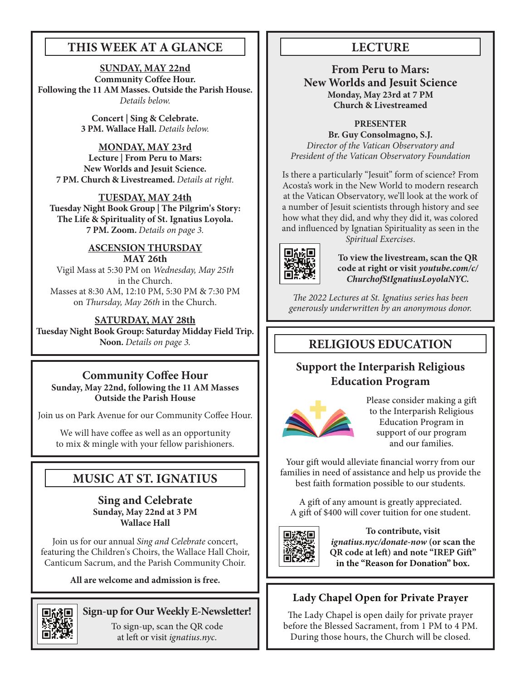## **THIS WEEK AT A GLANCE**

**SUNDAY, MAY 22nd Community Coffee Hour. Following the 11 AM Masses. Outside the Parish House.**  *Details below.*

> **Concert | Sing & Celebrate. 3 PM. Wallace Hall.** *Details below.*

#### **MONDAY, MAY 23rd**

**Lecture | From Peru to Mars: New Worlds and Jesuit Science. 7 PM. Church & Livestreamed.** *Details at right.*

**TUESDAY, MAY 24th Tuesday Night Book Group | The Pilgrim's Story: The Life & Spirituality of St. Ignatius Loyola. 7 PM. Zoom.** *Details on page 3.*

#### **ASCENSION THURSDAY MAY 26th**

Vigil Mass at 5:30 PM on *Wednesday, May 25th* in the Church. Masses at 8:30 AM, 12:10 PM, 5:30 PM & 7:30 PM on *Thursday, May 26th* in the Church.

### **SATURDAY, MAY 28th**

**Tuesday Night Book Group: Saturday Midday Field Trip. Noon.** *Details on page 3.*

### **Community Coffee Hour**

**Sunday, May 22nd, following the 11 AM Masses Outside the Parish House**

Join us on Park Avenue for our Community Coffee Hour.

We will have coffee as well as an opportunity to mix & mingle with your fellow parishioners.

# **MUSIC AT ST. IGNATIUS**

**Sing and Celebrate Sunday, May 22nd at 3 PM Wallace Hall**

Join us for our annual *Sing and Celebrate* concert, featuring the Children's Choirs, the Wallace Hall Choir, Canticum Sacrum, and the Parish Community Choir.

**All are welcome and admission is free.**



### **Sign-up for Our Weekly E-Newsletter!**

To sign-up, scan the QR code at left or visit *ignatius.nyc.*

# **LECTURE**

**From Peru to Mars: New Worlds and Jesuit Science Monday, May 23rd at 7 PM Church & Livestreamed**

**PRESENTER Br. Guy Consolmagno, S.J.** *Director of the Vatican Observatory and President of the Vatican Observatory Foundation*

Is there a particularly "Jesuit" form of science? From Acosta's work in the New World to modern research at the Vatican Observatory, we'll look at the work of a number of Jesuit scientists through history and see how what they did, and why they did it, was colored and influenced by Ignatian Spirituality as seen in the



*Spiritual Exercises*.

**To view the livestream, scan the QR code at right or visit** *youtube.com/c/ ChurchofStIgnatiusLoyolaNYC.*

*The 2022 Lectures at St. Ignatius series has been generously underwritten by an anonymous donor.*

# **RELIGIOUS EDUCATION**

## **Support the Interparish Religious Education Program**



Please consider making a gift to the Interparish Religious Education Program in support of our program and our families.

Your gift would alleviate financial worry from our families in need of assistance and help us provide the best faith formation possible to our students.

A gift of any amount is greatly appreciated. A gift of \$400 will cover tuition for one student.



**To contribute, visit**  *ignatius.nyc/donate-now* **(or scan the QR code at left) and note "IREP Gift" in the "Reason for Donation" box.**

# **Lady Chapel Open for Private Prayer**

The Lady Chapel is open daily for private prayer before the Blessed Sacrament, from 1 PM to 4 PM. During those hours, the Church will be closed.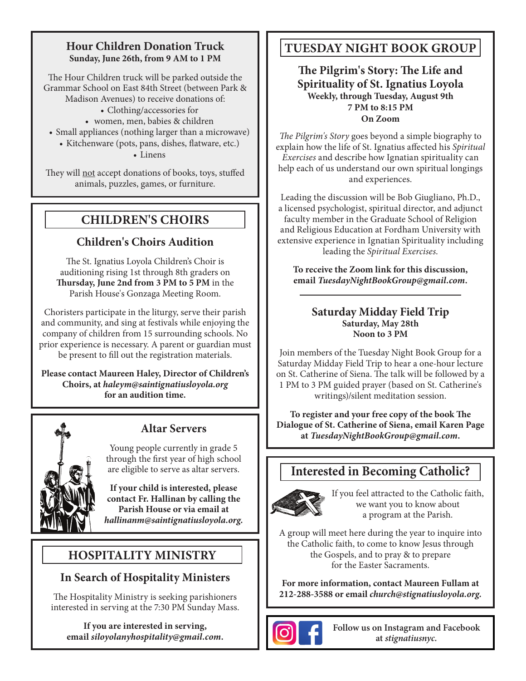#### **Hour Children Donation Truck Sunday, June 26th, from 9 AM to 1 PM**

The Hour Children truck will be parked outside the Grammar School on East 84th Street (between Park & Madison Avenues) to receive donations of:

- Clothing/accessories for
- women, men, babies & children
- Small appliances (nothing larger than a microwave)
	- Kitchenware (pots, pans, dishes, flatware, etc.)

• Linens

They will not accept donations of books, toys, stuffed animals, puzzles, games, or furniture.

# **CHILDREN'S CHOIRS**

## **Children's Choirs Audition**

The St. Ignatius Loyola Children's Choir is auditioning rising 1st through 8th graders on **Thursday, June 2nd from 3 PM to 5 PM** in the Parish House's Gonzaga Meeting Room.

Choristers participate in the liturgy, serve their parish and community, and sing at festivals while enjoying the company of children from 15 surrounding schools. No prior experience is necessary. A parent or guardian must be present to fill out the registration materials.

**Please contact Maureen Haley, Director of Children's Choirs, at** *haleym@saintignatiusloyola.org* **for an audition time.**



# **Altar Servers**

Young people currently in grade 5 through the first year of high school are eligible to serve as altar servers.

**If your child is interested, please contact Fr. Hallinan by calling the Parish House or via email at**  *hallinanm@saintignatiusloyola.org.*

# **HOSPITALITY MINISTRY**

## **In Search of Hospitality Ministers**

The Hospitality Ministry is seeking parishioners interested in serving at the 7:30 PM Sunday Mass.

**If you are interested in serving, email** *siloyolanyhospitality@gmail.com***.**

# **TUESDAY NIGHT BOOK GROUP**

#### **The Pilgrim's Story: The Life and Spirituality of St. Ignatius Loyola Weekly, through Tuesday, August 9th 7 PM to 8:15 PM On Zoom**

*The Pilgrim's Story* goes beyond a simple biography to explain how the life of St. Ignatius affected his *Spiritual Exercises* and describe how Ignatian spirituality can help each of us understand our own spiritual longings and experiences.

Leading the discussion will be Bob Giugliano, Ph.D., a licensed psychologist, spiritual director, and adjunct faculty member in the Graduate School of Religion and Religious Education at Fordham University with extensive experience in Ignatian Spirituality including leading the *Spiritual Exercises*.

**To receive the Zoom link for this discussion, email** *TuesdayNightBookGroup@gmail.com***.**

#### **Saturday Midday Field Trip Saturday, May 28th Noon to 3 PM**

Join members of the Tuesday Night Book Group for a Saturday Midday Field Trip to hear a one-hour lecture on St. Catherine of Siena. The talk will be followed by a 1 PM to 3 PM guided prayer (based on St. Catherine's writings)/silent meditation session.

**To register and your free copy of the book The Dialogue of St. Catherine of Siena, email Karen Page at** *TuesdayNightBookGroup@gmail.com***.**

# **Interested in Becoming Catholic?**



If you feel attracted to the Catholic faith, we want you to know about a program at the Parish.

A group will meet here during the year to inquire into the Catholic faith, to come to know Jesus through the Gospels, and to pray & to prepare for the Easter Sacraments.

**For more information, contact Maureen Fullam at 212-288-3588 or email** *church@stignatiusloyola.org.*



**Follow us on Instagram and Facebook at** *stignatiusnyc.*